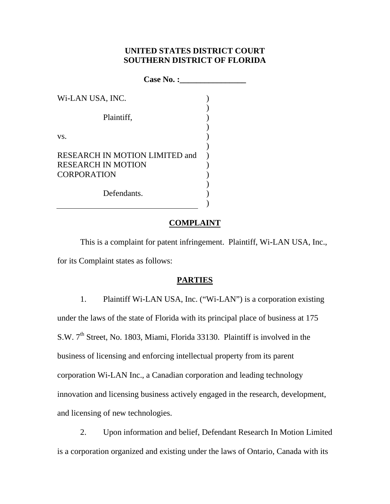## **UNITED STATES DISTRICT COURT SOUTHERN DISTRICT OF FLORIDA**

| Case No. :                                                  |  |
|-------------------------------------------------------------|--|
| Wi-LAN USA, INC.                                            |  |
| Plaintiff,                                                  |  |
|                                                             |  |
| VS.                                                         |  |
| RESEARCH IN MOTION LIMITED and<br><b>RESEARCH IN MOTION</b> |  |
| <b>CORPORATION</b>                                          |  |
| Defendants.                                                 |  |

### **COMPLAINT**

This is a complaint for patent infringement. Plaintiff, Wi-LAN USA, Inc., for its Complaint states as follows:

## **PARTIES**

1. Plaintiff Wi-LAN USA, Inc. ("Wi-LAN") is a corporation existing under the laws of the state of Florida with its principal place of business at 175 S.W. 7<sup>th</sup> Street, No. 1803, Miami, Florida 33130. Plaintiff is involved in the business of licensing and enforcing intellectual property from its parent corporation Wi-LAN Inc., a Canadian corporation and leading technology innovation and licensing business actively engaged in the research, development, and licensing of new technologies.

2. Upon information and belief, Defendant Research In Motion Limited is a corporation organized and existing under the laws of Ontario, Canada with its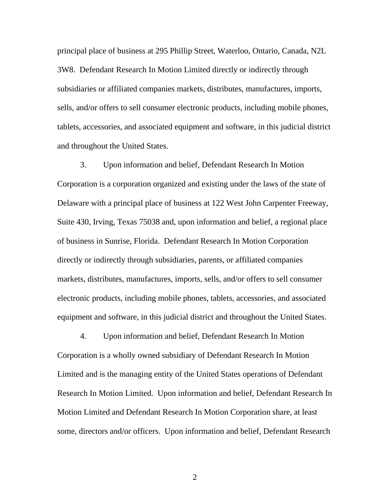principal place of business at 295 Phillip Street, Waterloo, Ontario, Canada, N2L 3W8. Defendant Research In Motion Limited directly or indirectly through subsidiaries or affiliated companies markets, distributes, manufactures, imports, sells, and/or offers to sell consumer electronic products, including mobile phones, tablets, accessories, and associated equipment and software, in this judicial district and throughout the United States.

3. Upon information and belief, Defendant Research In Motion Corporation is a corporation organized and existing under the laws of the state of Delaware with a principal place of business at 122 West John Carpenter Freeway, Suite 430, Irving, Texas 75038 and, upon information and belief, a regional place of business in Sunrise, Florida. Defendant Research In Motion Corporation directly or indirectly through subsidiaries, parents, or affiliated companies markets, distributes, manufactures, imports, sells, and/or offers to sell consumer electronic products, including mobile phones, tablets, accessories, and associated equipment and software, in this judicial district and throughout the United States.

4. Upon information and belief, Defendant Research In Motion Corporation is a wholly owned subsidiary of Defendant Research In Motion Limited and is the managing entity of the United States operations of Defendant Research In Motion Limited. Upon information and belief, Defendant Research In Motion Limited and Defendant Research In Motion Corporation share, at least some, directors and/or officers. Upon information and belief, Defendant Research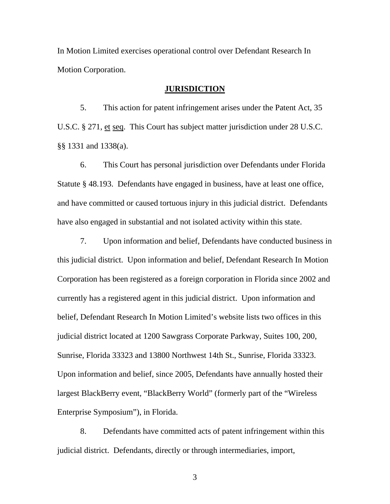In Motion Limited exercises operational control over Defendant Research In Motion Corporation.

#### **JURISDICTION**

5. This action for patent infringement arises under the Patent Act, 35 U.S.C. § 271, et seq. This Court has subject matter jurisdiction under 28 U.S.C. §§ 1331 and 1338(a).

6. This Court has personal jurisdiction over Defendants under Florida Statute § 48.193. Defendants have engaged in business, have at least one office, and have committed or caused tortuous injury in this judicial district. Defendants have also engaged in substantial and not isolated activity within this state.

7. Upon information and belief, Defendants have conducted business in this judicial district. Upon information and belief, Defendant Research In Motion Corporation has been registered as a foreign corporation in Florida since 2002 and currently has a registered agent in this judicial district. Upon information and belief, Defendant Research In Motion Limited's website lists two offices in this judicial district located at 1200 Sawgrass Corporate Parkway, Suites 100, 200, Sunrise, Florida 33323 and 13800 Northwest 14th St., Sunrise, Florida 33323. Upon information and belief, since 2005, Defendants have annually hosted their largest BlackBerry event, "BlackBerry World" (formerly part of the "Wireless Enterprise Symposium"), in Florida.

8. Defendants have committed acts of patent infringement within this judicial district. Defendants, directly or through intermediaries, import,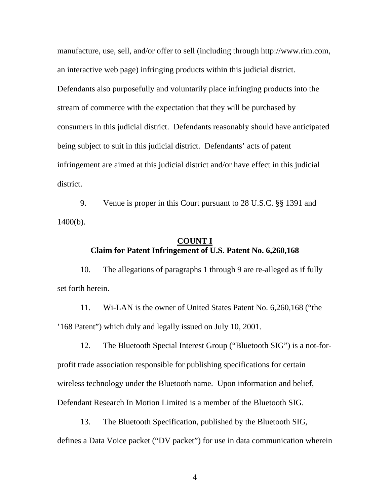manufacture, use, sell, and/or offer to sell (including through http://www.rim.com, an interactive web page) infringing products within this judicial district. Defendants also purposefully and voluntarily place infringing products into the stream of commerce with the expectation that they will be purchased by consumers in this judicial district. Defendants reasonably should have anticipated being subject to suit in this judicial district. Defendants' acts of patent infringement are aimed at this judicial district and/or have effect in this judicial district.

9. Venue is proper in this Court pursuant to 28 U.S.C. §§ 1391 and 1400(b).

# **COUNT I Claim for Patent Infringement of U.S. Patent No. 6,260,168**

10. The allegations of paragraphs 1 through 9 are re-alleged as if fully set forth herein.

11. Wi-LAN is the owner of United States Patent No. 6,260,168 ("the '168 Patent") which duly and legally issued on July 10, 2001.

12. The Bluetooth Special Interest Group ("Bluetooth SIG") is a not-forprofit trade association responsible for publishing specifications for certain wireless technology under the Bluetooth name. Upon information and belief, Defendant Research In Motion Limited is a member of the Bluetooth SIG.

13. The Bluetooth Specification, published by the Bluetooth SIG, defines a Data Voice packet ("DV packet") for use in data communication wherein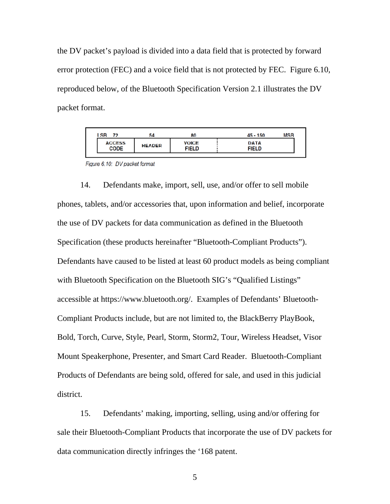the DV packet's payload is divided into a data field that is protected by forward error protection (FEC) and a voice field that is not protected by FEC. Figure 6.10, reproduced below, of the Bluetooth Specification Version 2.1 illustrates the DV packet format.

|                              |                                               | MSB<br>$45 - 150$           |
|------------------------------|-----------------------------------------------|-----------------------------|
| <b>ACCESS</b><br><b>CODE</b> | <b>VOICE</b><br><b>HEADER</b><br><b>FIELD</b> | <b>DATA</b><br><b>FIELD</b> |

Figure 6.10: DV packet format

14. Defendants make, import, sell, use, and/or offer to sell mobile phones, tablets, and/or accessories that, upon information and belief, incorporate the use of DV packets for data communication as defined in the Bluetooth Specification (these products hereinafter "Bluetooth-Compliant Products"). Defendants have caused to be listed at least 60 product models as being compliant with Bluetooth Specification on the Bluetooth SIG's "Qualified Listings" accessible at https://www.bluetooth.org/. Examples of Defendants' Bluetooth-Compliant Products include, but are not limited to, the BlackBerry PlayBook, Bold, Torch, Curve, Style, Pearl, Storm, Storm2, Tour, Wireless Headset, Visor Mount Speakerphone, Presenter, and Smart Card Reader. Bluetooth-Compliant Products of Defendants are being sold, offered for sale, and used in this judicial district.

15. Defendants' making, importing, selling, using and/or offering for sale their Bluetooth-Compliant Products that incorporate the use of DV packets for data communication directly infringes the '168 patent.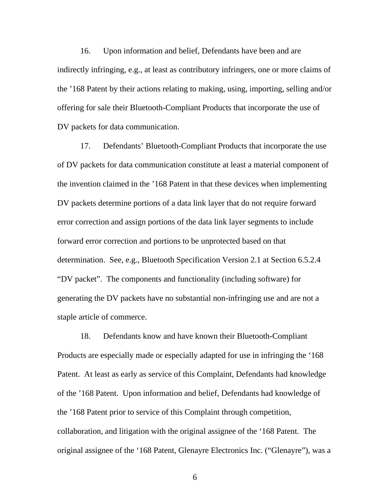16. Upon information and belief, Defendants have been and are indirectly infringing, e.g., at least as contributory infringers, one or more claims of the '168 Patent by their actions relating to making, using, importing, selling and/or offering for sale their Bluetooth-Compliant Products that incorporate the use of DV packets for data communication.

17. Defendants' Bluetooth-Compliant Products that incorporate the use of DV packets for data communication constitute at least a material component of the invention claimed in the '168 Patent in that these devices when implementing DV packets determine portions of a data link layer that do not require forward error correction and assign portions of the data link layer segments to include forward error correction and portions to be unprotected based on that determination. See, e.g., Bluetooth Specification Version 2.1 at Section 6.5.2.4 "DV packet". The components and functionality (including software) for generating the DV packets have no substantial non-infringing use and are not a staple article of commerce.

18. Defendants know and have known their Bluetooth-Compliant Products are especially made or especially adapted for use in infringing the '168 Patent. At least as early as service of this Complaint, Defendants had knowledge of the '168 Patent. Upon information and belief, Defendants had knowledge of the '168 Patent prior to service of this Complaint through competition, collaboration, and litigation with the original assignee of the '168 Patent. The original assignee of the '168 Patent, Glenayre Electronics Inc. ("Glenayre"), was a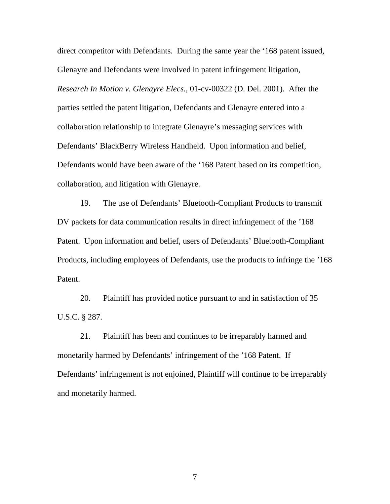direct competitor with Defendants. During the same year the '168 patent issued, Glenayre and Defendants were involved in patent infringement litigation, *Research In Motion v. Glenayre Elecs.*, 01-cv-00322 (D. Del. 2001). After the parties settled the patent litigation, Defendants and Glenayre entered into a collaboration relationship to integrate Glenayre's messaging services with Defendants' BlackBerry Wireless Handheld. Upon information and belief, Defendants would have been aware of the '168 Patent based on its competition, collaboration, and litigation with Glenayre.

19. The use of Defendants' Bluetooth-Compliant Products to transmit DV packets for data communication results in direct infringement of the '168 Patent. Upon information and belief, users of Defendants' Bluetooth-Compliant Products, including employees of Defendants, use the products to infringe the '168 Patent.

20. Plaintiff has provided notice pursuant to and in satisfaction of 35 U.S.C. § 287.

21. Plaintiff has been and continues to be irreparably harmed and monetarily harmed by Defendants' infringement of the '168 Patent. If Defendants' infringement is not enjoined, Plaintiff will continue to be irreparably and monetarily harmed.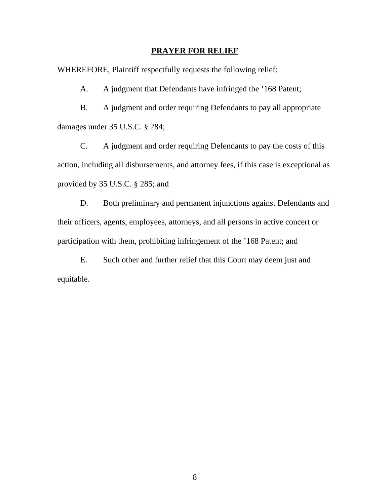#### **PRAYER FOR RELIEF**

WHEREFORE, Plaintiff respectfully requests the following relief:

A. A judgment that Defendants have infringed the '168 Patent;

B. A judgment and order requiring Defendants to pay all appropriate damages under 35 U.S.C. § 284;

C. A judgment and order requiring Defendants to pay the costs of this action, including all disbursements, and attorney fees, if this case is exceptional as provided by 35 U.S.C. § 285; and

D. Both preliminary and permanent injunctions against Defendants and their officers, agents, employees, attorneys, and all persons in active concert or participation with them, prohibiting infringement of the '168 Patent; and

E. Such other and further relief that this Court may deem just and equitable.